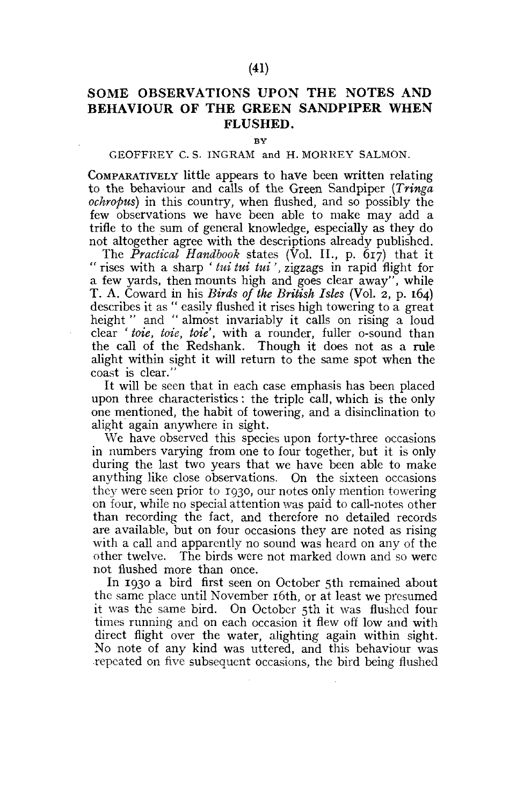## SOME OBSERVATIONS UPON THE NOTES AND BEHAVIOUR OF THE GREEN SANDPIPER WHEN FLUSHED.

**BY** 

## GEOFFREY C. S. INGRAM and H. MORREY SALMON.

COMPARATIVELY little appears to have been written relating to the behaviour and calls of the Green Sandpiper *(Tringa ochropus)* in this country, when flushed, and so possibly the few observations we have been able to make may add a trifle to the sum of general knowledge, especially as they do not altogether agree with the descriptions already published.

The *Practical Handbook* states (Vol. II., p. 617) that it " rises with a sharp ' *tui tut tut',* zigzags in rapid flight for a few yards, then mounts high and goes clear away", while T. A. Coward in his *Birds of the British Isles* (Vol. 2, p. 164) describes it as " easily flushed it rises high towering to a great height " and " almost invariably it calls on rising a loud clear ' *toie, tote, tote',* with a rounder, fuller o-sound than the call of the Redshank. Though it does not as a rule alight within sight it will return to the same spot when the coast is clear."

It will be seen that in each case emphasis has been placed upon three characteristics: the triple call, which is the only one mentioned, the habit of towering, and a disinclination to alight again anywhere in sight.

We have observed this species upon forty-three occasions in numbers varying from one to four together, but it is only during the last two years that we have been able to make anything like close observations. On the sixteen occasions they were seen prior to 1930, our notes only mention towering on four, while no special attention was paid to call-notes other than recording the fact, and therefore no detailed records are available, but on four occasions they are noted as rising with a call and apparently no sound was heard on any of the other twelve. The birds were not marked down and so were not flushed more than once.

In 1930 a bird first seen on October 5th remained about the same place until November 16th, or at least we presumed it was the same bird. On October 5th it was flushed four times running and on each occasion it flew off low and with direct flight over the water, alighting again within sight. No note of any kind was uttered, and this behaviour was repeated on five subsequent occasions, the bird being flushed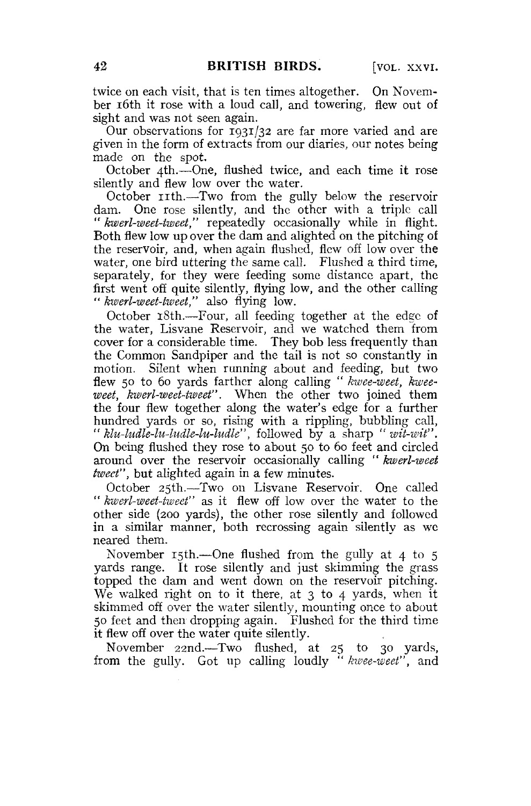twice on each visit, that is ten times altogether. On November 16th it rose with a loud call, and towering, flew out of sight and was not seen again.

Our observations for 1931/32 are far more varied and are given in the form of extracts from our diaries, our notes being made on the spot.

October 4th.—One, flushed twice, and each time it rose silently and flew low over the water.

October nth.—Two from the gully below the reservoir dam. One rose silently, and the other with a triple call " *kwerl-weet-iweet,"* repeatedly occasionally while in flight. Both flew low up over the dam and alighted on the pitching of the reservoir, and, when again flushed, flew off low over the water, one bird uttering the same call. Flushed a third time, separately, for they were feeding some distance apart, the first went off quite silently, flying low, and the other calling " *kwerl-weet-tweet,"* also flying low.

October 18th.—Four, all feeding together at the edge of the water, Lisvane Reservoir, and we watched them from cover for a considerable time. They bob less frequently than the Common Sandpiper and the tail is not so constantly in motion. Silent when running about and feeding, but two flew 50 to 60 yards farther along calling " *kwee-weet, kweeweet, kwerl-weet-tweet".* When the other two joined them the four flew together along the water's edge for a further hundred yards or so, rising with a rippling, bubbling call, " *klu-ludle-lu-ludle-lu-ludle",* followed by a sharp " *wit-wit".*  On being flushed they rose to about 50 to 60 feet and circled around over the reservoir occasionally calling " *kwerl-weet tweet",* but alighted again in a few minutes.

October 25th.—Two on Lisvane Reservoir. One called " *kwerl-weet-tweet"* as it flew off low over the water to the other side (200 yards), the other rose silently and followed in a similar manner, both recrossing again silently as we neared them.

November  $15th$ —One flushed from the gully at 4 to 5 yards range. It rose silently and just skimming the grass topped the dam and went down on the reservoir pitching. We walked right on to it there, at 3 to 4 yards, when it skimmed off over the water silently, mounting once to about 50 feet and then dropping again. Flushed for the third time it flew off over the water quite silently.

November 22nd.—Two flushed, at 25 to 30 yards, from the gully. Got up calling loudly " *kwee-weet",* and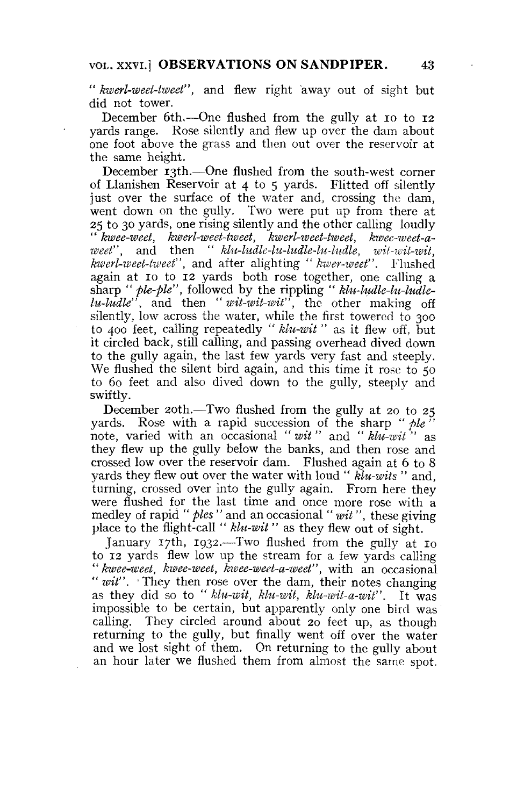" *kwerl-weet-tweet"*, and flew right away out of sight but did not tower.

December 6th.—One flushed from the gully at io to 12 yards range. Rose silently and flew up over the dam about one foot above the grass and then out over the reservoir at the same height.

December 13th.—One flushed from the south-west corner of Llanishen Reservoir at 4 to 5 yards. Flitted off silently just over the surface of the water and, crossing the dam, went down on the gully. Two were put up from there at 25 to 30 yards, one rising silently and the other calling loudly " *kwee-weet, kwerl-weet-tweet, kwerl-weet-tweet, kwee-weet-aweet",* and then " *klu-ludle-lu-ludle-lu-ludle, wit-wit-wit, kwerl-weet-tweet",* and after alighting " *kwer-weet".* Flushed again at 10 to 12 yards both rose together, one calling a sharp " *pie-fie",* followed by the rippling " *klu-ludle-lu-ludlelu-ludle",* and then " *wit-wit-wit",* the other making off silently, low across the water, while the first towered to 300 to 400 feet, calling repeatedly " *klu-wit"* as it flew off, but it circled back, still calling, and passing overhead dived down to the gully again, the last few yards very fast and steeply. We flushed the silent bird again, and this time it rose to 50 to 60 feet and also dived down to the gully, steeply and swiftly.

December 20th.—Two flushed from the gully at 20 to 25 vards. Rose with a rapid succession of the sharp " *ple*" note, varied with an occasional *"wit"* and *"klu-wit"* as they flew up the gully below the banks, and then rose and crossed low over the reservoir dam. Flushed again at 6 to 8 yards they flew out over the water with loud " *klu-wits "* and, turning, crossed over into the gully again. From here they were flushed for the last time and once more rose with a medley of rapid " *pies "* and an occasional " *wit",* these giving place to the flight-call " *klu-wit "* as they flew out of sight.

January 17th, 1932.—Two flushed from the gully at 10 to 12 yards flew low up the stream for a few yards calling " *kwee-weet, kwee-weet, kwee-weet-a-weet",* with an occasional " wit". They then rose over the dam, their notes changing as they did so to " *klu-wit, klu-wit, klu-wit-a-wit".* It was impossible to be certain, but apparently only one bird was calling. They circled around about 20 feet up, as though returning to the gully, but finally went off over the water and we lost sight of them. On returning to the gully about an hour later we flushed them from almost the same spot.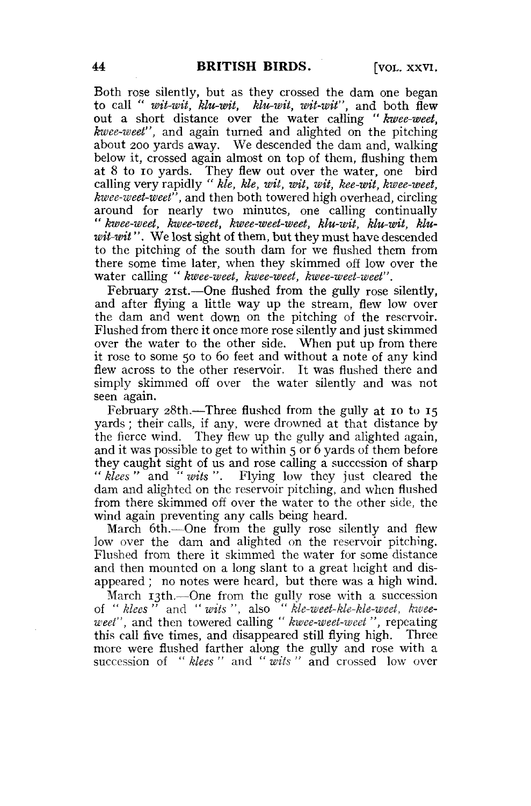Both rose silently, but as they crossed the dam one began to call " *wit-wit, klu-wit, klu-wit, wit-wit",* and both flew out a short distance over the water calling " *kwee-weet, kwee-weet",* and again turned and alighted on the pitching about 200 yards away. We descended the dam and, walking below it, crossed again almost on top of them, flushing them at 8 to io yards. They flew out over the water, one bird calling very rapidly " *Me, Me, wit, wit, wit, kee-wit, kwee-weet, kwee-weet-weet",* and then both towered high overhead, circling around for nearly two minutes, one calling continually " *kwee-weet, kwee-weet, kwee-weet-weet, klu-wit, klu-wit, kluwit-wit".* We lost sight of them, but they must have descended to the pitching of the south dam for we flushed them from there some time later, when they skimmed off low over the water calling " *kwee-weet, kwee-weet, kwee-weet-weet".* 

February 2ist.—One flushed from the gully rose silently, and after flying a little way up the stream, flew low over the dam and went down on the pitching of the reservoir. Flushed from there it once more rose silently and just skimmed over the water to the other side. When put up from there it rose to some 50 to 60 feet and without a note of any kind flew across to the other reservoir. It was flushed there and simply skimmed off over the water silently and was not seen again.

February 28th.—Three flushed from the gully at 10 to 15 yards ; their calls, if any, were drowned at that distance by the fierce wind. They flew up the gully and alighted again, and it was possible to get to within 5 or 6 yards of them before they caught sight of us and rose calling a succession of sharp " *klees "* and " *wits ".* Flying low they just cleared the dam and alighted on the reservoir pitching, and when flushed from there skimmed off over the water to the other side, the wind again preventing any calls being heard.

March 6th.—One from the gully rose silently and flew low over the dam and alighted on the reservoir pitching. Flushed from there it skimmed the water for some distance and then mounted on a long slant to a great height and disappeared ; no notes were heard, but there was a high wind.

March 13th.—One from the gully rose with a succession of " *klees "* and " *wits ",* also " *kle-weet-kle-kle-weet, kweeweet",* and then towered calling " *kwee-weet-weet ",* repeating this call five times, and disappeared still flying high. Three more were flushed farther along the gully and rose with a succession of " *klees "* and " *wits "* and crossed low over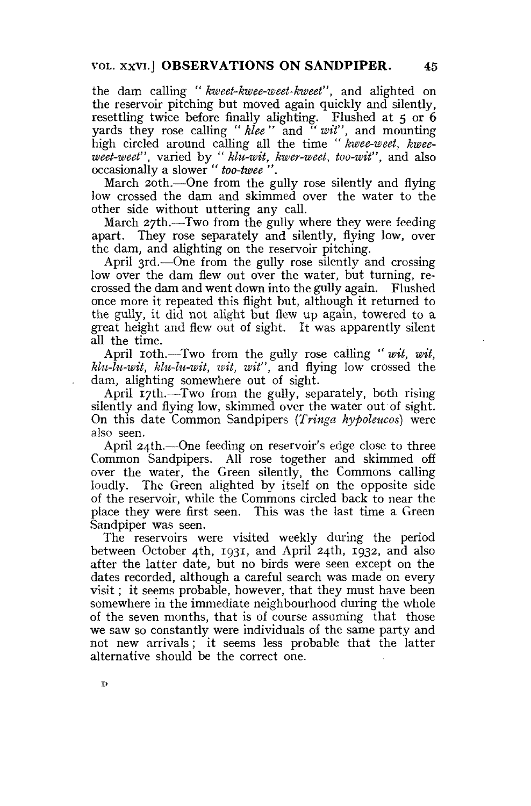the dam calling " *kweet-kwee-weet-kweet",* and alighted on the reservoir pitching but moved again quickly and silently, resettling twice before finally alighting. Flushed at 5 or 6 yards they rose calling " *klee "* and " *wit",* and mounting high circled around calling all the time " *kwee-weet, kweeweet-weet",* varied by " *klu-wit, kwer-weet, too-wit",* and also occasionally a slower " *too-twee ".* 

March 20th.—One from the gully rose silently and flying low crossed the dam and skimmed over the water to the other side without uttering any call.

March 27th.—Two from the gully where they were feeding apart. They rose separately and silently, flying low, over the dam, and alighting on the reservoir pitching.

April 3rd.—One from the gully rose silently and crossing low over the dam flew out over the water, but turning, recrossed the dam and went down into the gully again. Flushed once more it repeated this flight but, although it returned to the gully, it did not alight but flew up again, towered to a great height and flew out of sight. It was apparently silent all the time.

April 10th.—Two from the gully rose calling "*wit, wit, klu-lu-wit, klu-lu-wit, wit, wit",* and flying low crossed the dam, alighting somewhere out of sight.

April 17th.—Two from the gully, separately, both rising silently and flying low, skimmed over the water out of sight. On this date Common Sandpipers *(Tringa hypoleucos)* were also seen.

April 24th.—One feeding on reservoir's edge close to three Common Sandpipers. All rose together and skimmed off over the water, the Green silently, the Commons calling loudly. The Green alighted by itself on the opposite side of the reservoir, while the Commons circled back to near the place they were first seen. This was the last time a Green Sandpiper was seen.

The reservoirs were visited weekly during the period between October 4th, 1931, and April 24th, 1932, and also after the latter date, but no birds were seen except on the dates recorded, although a careful search was made on every visit; it seems probable, however, that they must have been somewhere in the immediate neighbourhood during the whole of the seven months, that is of course assuming that those we saw so constantly were individuals of the same party and not new arrivals; it seems less probable that the latter alternative should be the correct one.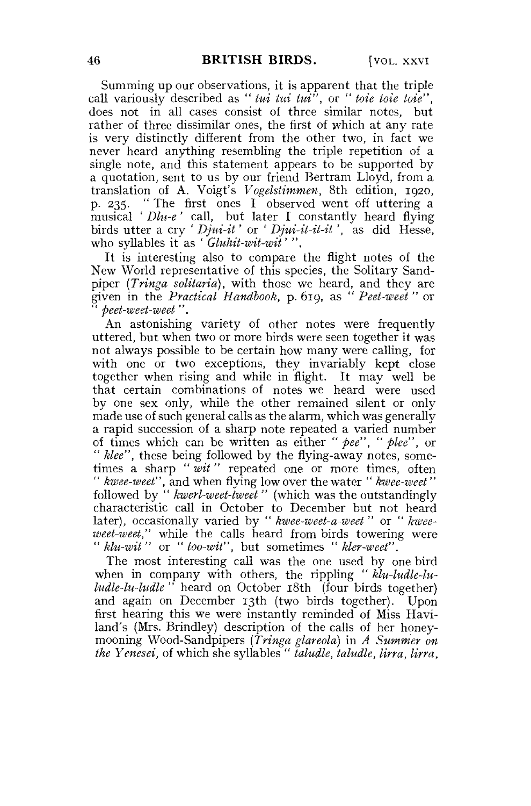Summing up our observations, it is apparent that the triple call variously described as " *tui tui tui",* or " *toie toie toie",*  does not in all cases consist of three similar notes, but rather of three dissimilar ones, the first of which at any rate is very distinctly different from the other two, in fact we never heard anything resembling the triple repetition of a single note, and this statement appears to be supported by a quotation, sent to us by our friend Bertram Lloyd, from a translation of A. Voigt's *Vogelstimmen,* 8th edition, 1920, p. 235. " The first ones I observed went off uttering a musical ' *Dlu-e '* call, but later I constantly heard flying birds utter a cry ' *Djui-it'* or ' *Djui-it-it-it* ', as did Hesse, who syllables it as ' *Gluhit-wit-wit' ".* 

It is interesting also to compare the flight notes of the New World representative of this species, the Solitary Sandpiper *(Tringa solitaria),* with those we heard, and they are given in the *Practical Handbook,* p. 619, as " *Peet-weet "* or " *peet-weet-weet ".* 

An astonishing variety of other notes were frequently uttered, but when two or more birds were seen together it was not always possible to be certain how many were calling, for with one or two exceptions, they invariably kept close together when rising and while in flight. It may well be that certain combinations of notes we heard were used by one sex only, while the other remained silent or only made use of such general calls as the alarm, which was generally a rapid succession of a sharp note repeated a varied number of times which can be written as either *"pee", " plee",* or " *klee",* these being followed by the flying-away notes, sometimes a sharp "*wit*" repeated one or more times, often " *kwee-weet",* and when flying low over the water " *kwee-weet"*  followed by " *kwerl-weet-tweei "* (which was the outstandingly characteristic call in October to December but not heard later), occasionally varied by " *kwee-weet-a-weet "* or " *kweeweet-weet,"* while the calls heard from birds towering were " *klu-wit "* or " *too-wit",* but sometimes " *kler-weet".* 

The most interesting call was the one used by one bird when in company with others, the rippling " *klu-ludle-luludle-lu-ludle "* heard on October 18th (four birds together) and again on December 13th (two birds together). Upon first hearing this we were instantly reminded of Miss Haviland's (Mrs. Brindley) description of the calls of her honeymooning Wood-Sandpipers *(Tringa glareola)* in *A Summer on the Yenesei,* of which she syllables " *taludle, taludle, Una, Una,*